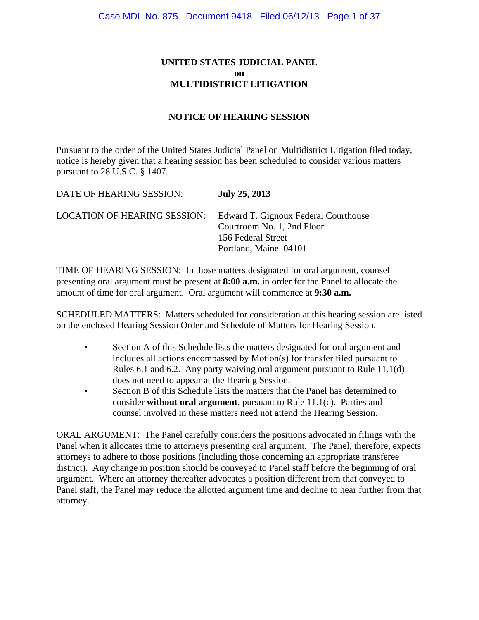# **UNITED STATES JUDICIAL PANEL on MULTIDISTRICT LITIGATION**

# **NOTICE OF HEARING SESSION**

Pursuant to the order of the United States Judicial Panel on Multidistrict Litigation filed today, notice is hereby given that a hearing session has been scheduled to consider various matters pursuant to 28 U.S.C. § 1407.

| DATE OF HEARING SESSION:            | <b>July 25, 2013</b>                                                                                              |
|-------------------------------------|-------------------------------------------------------------------------------------------------------------------|
| <b>LOCATION OF HEARING SESSION:</b> | Edward T. Gignoux Federal Courthouse<br>Courtroom No. 1, 2nd Floor<br>156 Federal Street<br>Portland, Maine 04101 |

TIME OF HEARING SESSION: In those matters designated for oral argument, counsel presenting oral argument must be present at **8:00 a.m.** in order for the Panel to allocate the amount of time for oral argument. Oral argument will commence at **9:30 a.m.**

SCHEDULED MATTERS: Matters scheduled for consideration at this hearing session are listed on the enclosed Hearing Session Order and Schedule of Matters for Hearing Session.

- Section A of this Schedule lists the matters designated for oral argument and includes all actions encompassed by Motion(s) for transfer filed pursuant to Rules 6.1 and 6.2. Any party waiving oral argument pursuant to Rule 11.1(d) does not need to appear at the Hearing Session.
- Section B of this Schedule lists the matters that the Panel has determined to consider **without oral argument**, pursuant to Rule 11.1(c). Parties and counsel involved in these matters need not attend the Hearing Session.

ORAL ARGUMENT: The Panel carefully considers the positions advocated in filings with the Panel when it allocates time to attorneys presenting oral argument. The Panel, therefore, expects attorneys to adhere to those positions (including those concerning an appropriate transferee district). Any change in position should be conveyed to Panel staff before the beginning of oral argument. Where an attorney thereafter advocates a position different from that conveyed to Panel staff, the Panel may reduce the allotted argument time and decline to hear further from that attorney.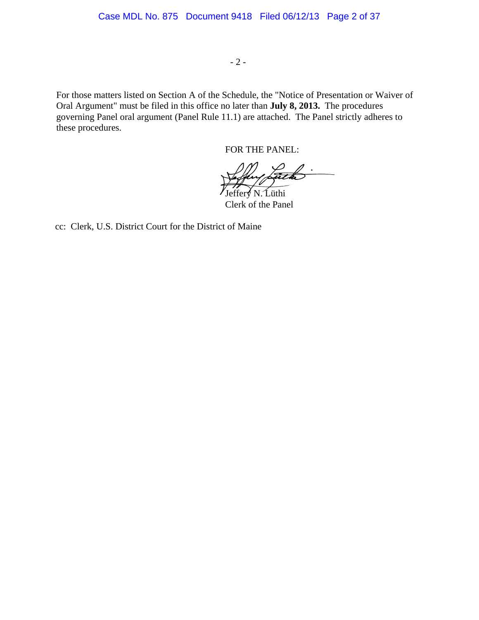- 2 -

For those matters listed on Section A of the Schedule, the "Notice of Presentation or Waiver of Oral Argument" must be filed in this office no later than **July 8, 2013.** The procedures governing Panel oral argument (Panel Rule 11.1) are attached. The Panel strictly adheres to these procedures.

FOR THE PANEL:

Jeffery N. Lüthi

Clerk of the Panel

cc: Clerk, U.S. District Court for the District of Maine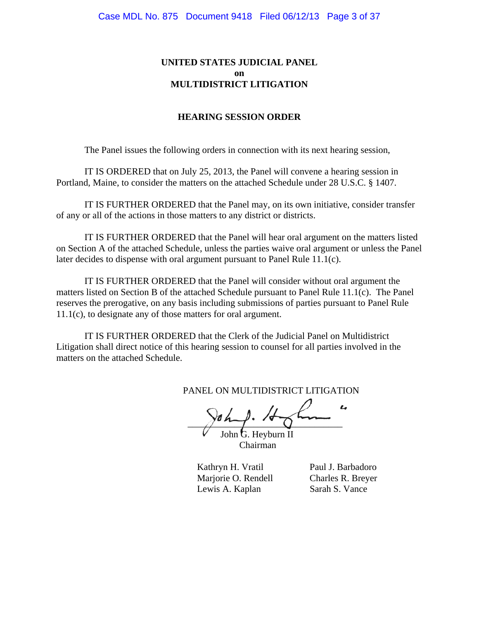# **UNITED STATES JUDICIAL PANEL on MULTIDISTRICT LITIGATION**

## **HEARING SESSION ORDER**

The Panel issues the following orders in connection with its next hearing session,

IT IS ORDERED that on July 25, 2013, the Panel will convene a hearing session in Portland, Maine, to consider the matters on the attached Schedule under 28 U.S.C. § 1407.

IT IS FURTHER ORDERED that the Panel may, on its own initiative, consider transfer of any or all of the actions in those matters to any district or districts.

IT IS FURTHER ORDERED that the Panel will hear oral argument on the matters listed on Section A of the attached Schedule, unless the parties waive oral argument or unless the Panel later decides to dispense with oral argument pursuant to Panel Rule 11.1(c).

IT IS FURTHER ORDERED that the Panel will consider without oral argument the matters listed on Section B of the attached Schedule pursuant to Panel Rule 11.1(c). The Panel reserves the prerogative, on any basis including submissions of parties pursuant to Panel Rule 11.1(c), to designate any of those matters for oral argument.

IT IS FURTHER ORDERED that the Clerk of the Judicial Panel on Multidistrict Litigation shall direct notice of this hearing session to counsel for all parties involved in the matters on the attached Schedule.

PANEL ON MULTIDISTRICT LITIGATION

 $\gamma$  is a set of  $\gamma$ 

John G. Heyburn II Chairman

Kathryn H. Vratil Paul J. Barbadoro Marjorie O. Rendell Charles R. Breyer Lewis A. Kaplan Sarah S. Vance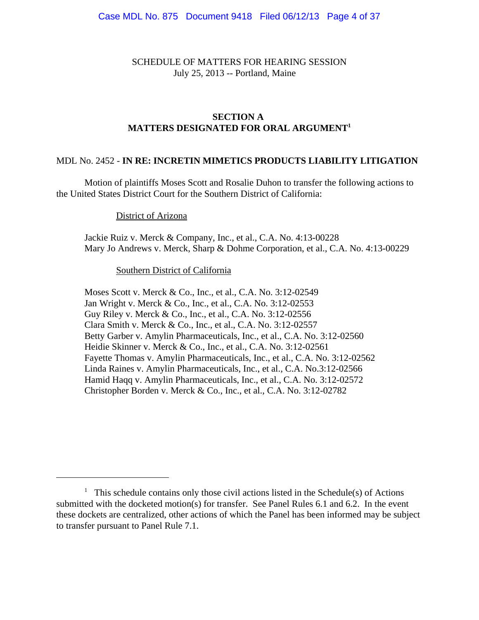SCHEDULE OF MATTERS FOR HEARING SESSION July 25, 2013 -- Portland, Maine

# **SECTION A MATTERS DESIGNATED FOR ORAL ARGUMENT1**

## MDL No. 2452 - **IN RE: INCRETIN MIMETICS PRODUCTS LIABILITY LITIGATION**

Motion of plaintiffs Moses Scott and Rosalie Duhon to transfer the following actions to the United States District Court for the Southern District of California:

District of Arizona

Jackie Ruiz v. Merck & Company, Inc., et al., C.A. No. 4:13-00228 Mary Jo Andrews v. Merck, Sharp & Dohme Corporation, et al., C.A. No. 4:13-00229

Southern District of California

Moses Scott v. Merck & Co., Inc., et al., C.A. No. 3:12-02549 Jan Wright v. Merck & Co., Inc., et al., C.A. No. 3:12-02553 Guy Riley v. Merck & Co., Inc., et al., C.A. No. 3:12-02556 Clara Smith v. Merck & Co., Inc., et al., C.A. No. 3:12-02557 Betty Garber v. Amylin Pharmaceuticals, Inc., et al., C.A. No. 3:12-02560 Heidie Skinner v. Merck & Co., Inc., et al., C.A. No. 3:12-02561 Fayette Thomas v. Amylin Pharmaceuticals, Inc., et al., C.A. No. 3:12-02562 Linda Raines v. Amylin Pharmaceuticals, Inc., et al., C.A. No.3:12-02566 Hamid Haqq v. Amylin Pharmaceuticals, Inc., et al., C.A. No. 3:12-02572 Christopher Borden v. Merck & Co., Inc., et al., C.A. No. 3:12-02782

 $<sup>1</sup>$  This schedule contains only those civil actions listed in the Schedule(s) of Actions</sup> submitted with the docketed motion(s) for transfer. See Panel Rules 6.1 and 6.2. In the event these dockets are centralized, other actions of which the Panel has been informed may be subject to transfer pursuant to Panel Rule 7.1.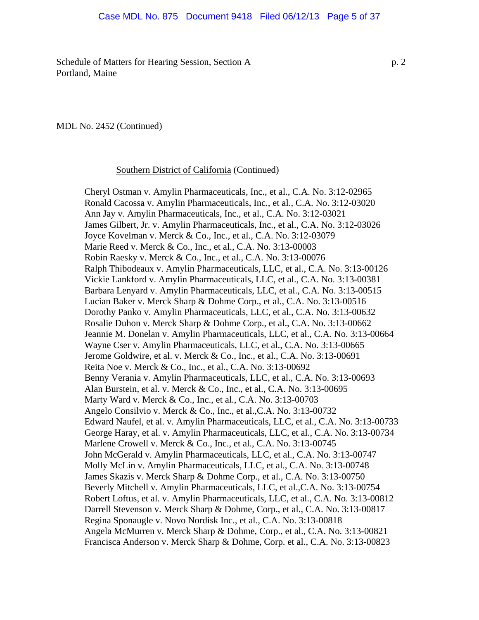Schedule of Matters for Hearing Session, Section A p. 2 Portland, Maine

MDL No. 2452 (Continued)

Southern District of California (Continued)

Cheryl Ostman v. Amylin Pharmaceuticals, Inc., et al., C.A. No. 3:12-02965 Ronald Cacossa v. Amylin Pharmaceuticals, Inc., et al., C.A. No. 3:12-03020 Ann Jay v. Amylin Pharmaceuticals, Inc., et al., C.A. No. 3:12-03021 James Gilbert, Jr. v. Amylin Pharmaceuticals, Inc., et al., C.A. No. 3:12-03026 Joyce Kovelman v. Merck & Co., Inc., et al., C.A. No. 3:12-03079 Marie Reed v. Merck & Co., Inc., et al., C.A. No. 3:13-00003 Robin Raesky v. Merck & Co., Inc., et al., C.A. No. 3:13-00076 Ralph Thibodeaux v. Amylin Pharmaceuticals, LLC, et al., C.A. No. 3:13-00126 Vickie Lankford v. Amylin Pharmaceuticals, LLC, et al., C.A. No. 3:13-00381 Barbara Lenyard v. Amylin Pharmaceuticals, LLC, et al., C.A. No. 3:13-00515 Lucian Baker v. Merck Sharp & Dohme Corp., et al., C.A. No. 3:13-00516 Dorothy Panko v. Amylin Pharmaceuticals, LLC, et al., C.A. No. 3:13-00632 Rosalie Duhon v. Merck Sharp & Dohme Corp., et al., C.A. No. 3:13-00662 Jeannie M. Donelan v. Amylin Pharmaceuticals, LLC, et al., C.A. No. 3:13-00664 Wayne Cser v. Amylin Pharmaceuticals, LLC, et al., C.A. No. 3:13-00665 Jerome Goldwire, et al. v. Merck & Co., Inc., et al., C.A. No. 3:13-00691 Reita Noe v. Merck & Co., Inc., et al., C.A. No. 3:13-00692 Benny Verania v. Amylin Pharmaceuticals, LLC, et al., C.A. No. 3:13-00693 Alan Burstein, et al. v. Merck & Co., Inc., et al., C.A. No. 3:13-00695 Marty Ward v. Merck & Co., Inc., et al., C.A. No. 3:13-00703 Angelo Consilvio v. Merck & Co., Inc., et al.,C.A. No. 3:13-00732 Edward Naufel, et al. v. Amylin Pharmaceuticals, LLC, et al., C.A. No. 3:13-00733 George Haray, et al. v. Amylin Pharmaceuticals, LLC, et al., C.A. No. 3:13-00734 Marlene Crowell v. Merck & Co., Inc., et al., C.A. No. 3:13-00745 John McGerald v. Amylin Pharmaceuticals, LLC, et al., C.A. No. 3:13-00747 Molly McLin v. Amylin Pharmaceuticals, LLC, et al., C.A. No. 3:13-00748 James Skazis v. Merck Sharp & Dohme Corp., et al., C.A. No. 3:13-00750 Beverly Mitchell v. Amylin Pharmaceuticals, LLC, et al.,C.A. No. 3:13-00754 Robert Loftus, et al. v. Amylin Pharmaceuticals, LLC, et al., C.A. No. 3:13-00812 Darrell Stevenson v. Merck Sharp & Dohme, Corp., et al., C.A. No. 3:13-00817 Regina Sponaugle v. Novo Nordisk Inc., et al., C.A. No. 3:13-00818 Angela McMurren v. Merck Sharp & Dohme, Corp., et al., C.A. No. 3:13-00821 Francisca Anderson v. Merck Sharp & Dohme, Corp. et al., C.A. No. 3:13-00823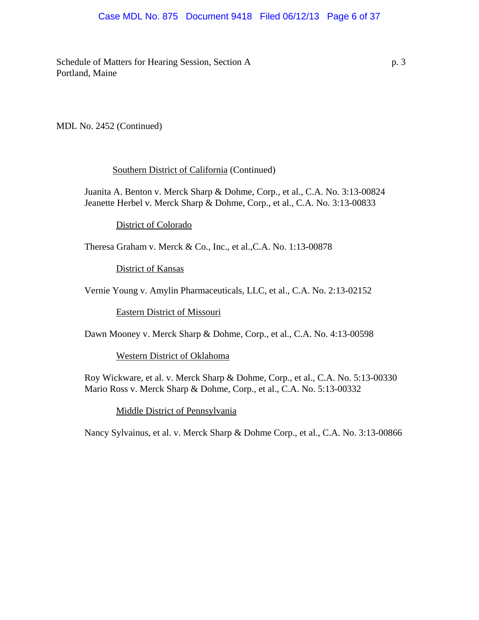## Case MDL No. 875 Document 9418 Filed 06/12/13 Page 6 of 37

Schedule of Matters for Hearing Session, Section A p. 3 Portland, Maine

MDL No. 2452 (Continued)

## Southern District of California (Continued)

Juanita A. Benton v. Merck Sharp & Dohme, Corp., et al., C.A. No. 3:13-00824 Jeanette Herbel v. Merck Sharp & Dohme, Corp., et al., C.A. No. 3:13-00833

District of Colorado

Theresa Graham v. Merck & Co., Inc., et al.,C.A. No. 1:13-00878

District of Kansas

Vernie Young v. Amylin Pharmaceuticals, LLC, et al., C.A. No. 2:13-02152

Eastern District of Missouri

Dawn Mooney v. Merck Sharp & Dohme, Corp., et al., C.A. No. 4:13-00598

Western District of Oklahoma

Roy Wickware, et al. v. Merck Sharp & Dohme, Corp., et al., C.A. No. 5:13-00330 Mario Ross v. Merck Sharp & Dohme, Corp., et al., C.A. No. 5:13-00332

Middle District of Pennsylvania

Nancy Sylvainus, et al. v. Merck Sharp & Dohme Corp., et al., C.A. No. 3:13-00866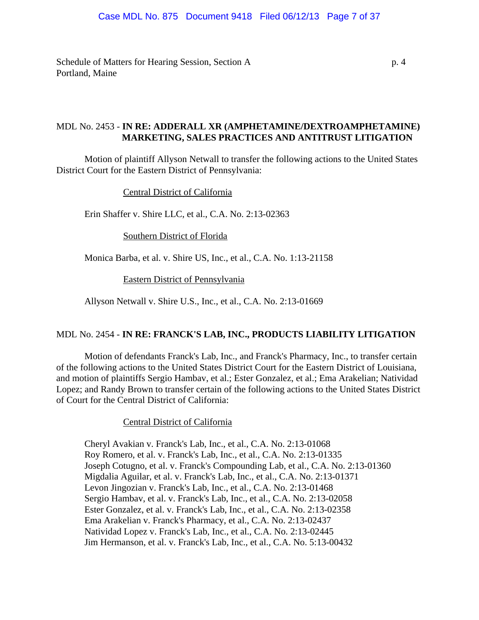Schedule of Matters for Hearing Session, Section A p. 4 Portland, Maine

# MDL No. 2453 - **IN RE: ADDERALL XR (AMPHETAMINE/DEXTROAMPHETAMINE) MARKETING, SALES PRACTICES AND ANTITRUST LITIGATION**

Motion of plaintiff Allyson Netwall to transfer the following actions to the United States District Court for the Eastern District of Pennsylvania:

Central District of California

Erin Shaffer v. Shire LLC, et al., C.A. No. 2:13-02363

Southern District of Florida

Monica Barba, et al. v. Shire US, Inc., et al., C.A. No. 1:13-21158

Eastern District of Pennsylvania

Allyson Netwall v. Shire U.S., Inc., et al., C.A. No. 2:13-01669

## MDL No. 2454 - **IN RE: FRANCK'S LAB, INC., PRODUCTS LIABILITY LITIGATION**

Motion of defendants Franck's Lab, Inc., and Franck's Pharmacy, Inc., to transfer certain of the following actions to the United States District Court for the Eastern District of Louisiana, and motion of plaintiffs Sergio Hambav, et al.; Ester Gonzalez, et al.; Ema Arakelian; Natividad Lopez; and Randy Brown to transfer certain of the following actions to the United States District of Court for the Central District of California:

Central District of California

Cheryl Avakian v. Franck's Lab, Inc., et al., C.A. No. 2:13-01068 Roy Romero, et al. v. Franck's Lab, Inc., et al., C.A. No. 2:13-01335 Joseph Cotugno, et al. v. Franck's Compounding Lab, et al., C.A. No. 2:13-01360 Migdalia Aguilar, et al. v. Franck's Lab, Inc., et al., C.A. No. 2:13-01371 Levon Jingozian v. Franck's Lab, Inc., et al., C.A. No. 2:13-01468 Sergio Hambav, et al. v. Franck's Lab, Inc., et al., C.A. No. 2:13-02058 Ester Gonzalez, et al. v. Franck's Lab, Inc., et al., C.A. No. 2:13-02358 Ema Arakelian v. Franck's Pharmacy, et al., C.A. No. 2:13-02437 Natividad Lopez v. Franck's Lab, Inc., et al., C.A. No. 2:13-02445 Jim Hermanson, et al. v. Franck's Lab, Inc., et al., C.A. No. 5:13-00432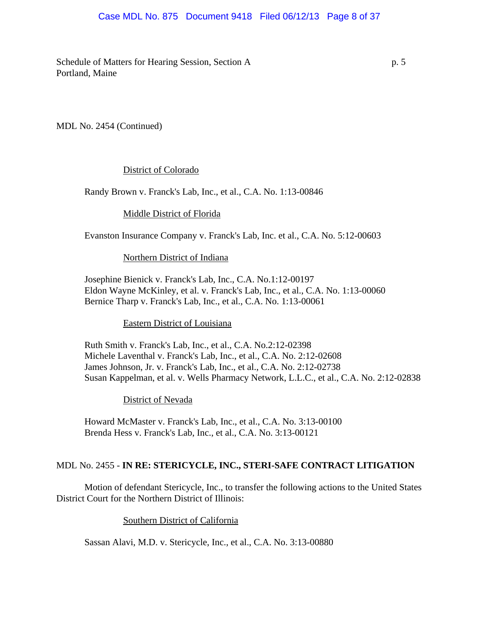## Case MDL No. 875 Document 9418 Filed 06/12/13 Page 8 of 37

Schedule of Matters for Hearing Session, Section A p. 5 Portland, Maine

MDL No. 2454 (Continued)

## District of Colorado

Randy Brown v. Franck's Lab, Inc., et al., C.A. No. 1:13-00846

## Middle District of Florida

Evanston Insurance Company v. Franck's Lab, Inc. et al., C.A. No. 5:12-00603

#### Northern District of Indiana

Josephine Bienick v. Franck's Lab, Inc., C.A. No.1:12-00197 Eldon Wayne McKinley, et al. v. Franck's Lab, Inc., et al., C.A. No. 1:13-00060 Bernice Tharp v. Franck's Lab, Inc., et al., C.A. No. 1:13-00061

Eastern District of Louisiana

Ruth Smith v. Franck's Lab, Inc., et al., C.A. No.2:12-02398 Michele Laventhal v. Franck's Lab, Inc., et al., C.A. No. 2:12-02608 James Johnson, Jr. v. Franck's Lab, Inc., et al., C.A. No. 2:12-02738 Susan Kappelman, et al. v. Wells Pharmacy Network, L.L.C., et al., C.A. No. 2:12-02838

District of Nevada

Howard McMaster v. Franck's Lab, Inc., et al., C.A. No. 3:13-00100 Brenda Hess v. Franck's Lab, Inc., et al., C.A. No. 3:13-00121

## MDL No. 2455 - **IN RE: STERICYCLE, INC., STERI-SAFE CONTRACT LITIGATION**

Motion of defendant Stericycle, Inc., to transfer the following actions to the United States District Court for the Northern District of Illinois:

Southern District of California

Sassan Alavi, M.D. v. Stericycle, Inc., et al., C.A. No. 3:13-00880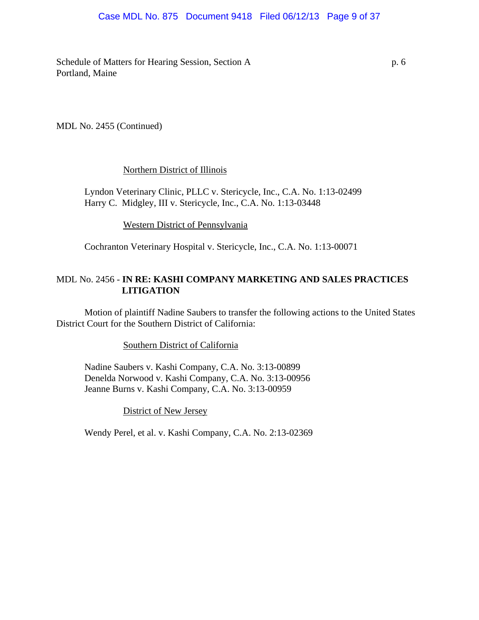## Case MDL No. 875 Document 9418 Filed 06/12/13 Page 9 of 37

Schedule of Matters for Hearing Session, Section A p. 6 Portland, Maine

MDL No. 2455 (Continued)

## Northern District of Illinois

Lyndon Veterinary Clinic, PLLC v. Stericycle, Inc., C.A. No. 1:13-02499 Harry C. Midgley, III v. Stericycle, Inc., C.A. No. 1:13-03448

Western District of Pennsylvania

Cochranton Veterinary Hospital v. Stericycle, Inc., C.A. No. 1:13-00071

# MDL No. 2456 - **IN RE: KASHI COMPANY MARKETING AND SALES PRACTICES LITIGATION**

Motion of plaintiff Nadine Saubers to transfer the following actions to the United States District Court for the Southern District of California:

Southern District of California

Nadine Saubers v. Kashi Company, C.A. No. 3:13-00899 Denelda Norwood v. Kashi Company, C.A. No. 3:13-00956 Jeanne Burns v. Kashi Company, C.A. No. 3:13-00959

## District of New Jersey

Wendy Perel, et al. v. Kashi Company, C.A. No. 2:13-02369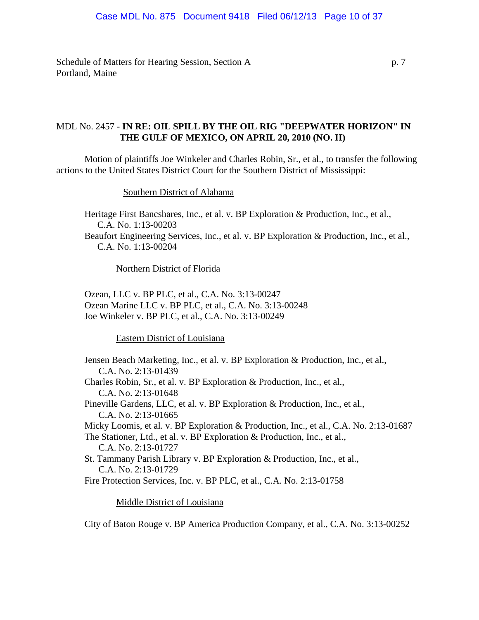#### Case MDL No. 875 Document 9418 Filed 06/12/13 Page 10 of 37

Schedule of Matters for Hearing Session, Section A p. 7 Portland, Maine

# MDL No. 2457 - **IN RE: OIL SPILL BY THE OIL RIG "DEEPWATER HORIZON" IN THE GULF OF MEXICO, ON APRIL 20, 2010 (NO. II)**

Motion of plaintiffs Joe Winkeler and Charles Robin, Sr., et al., to transfer the following actions to the United States District Court for the Southern District of Mississippi:

Southern District of Alabama

Heritage First Bancshares, Inc., et al. v. BP Exploration & Production, Inc., et al., C.A. No. 1:13-00203 Beaufort Engineering Services, Inc., et al. v. BP Exploration & Production, Inc., et al., C.A. No. 1:13-00204

Northern District of Florida

Ozean, LLC v. BP PLC, et al., C.A. No. 3:13-00247 Ozean Marine LLC v. BP PLC, et al., C.A. No. 3:13-00248 Joe Winkeler v. BP PLC, et al., C.A. No. 3:13-00249

Eastern District of Louisiana

Jensen Beach Marketing, Inc., et al. v. BP Exploration & Production, Inc., et al., C.A. No. 2:13-01439 Charles Robin, Sr., et al. v. BP Exploration & Production, Inc., et al., C.A. No. 2:13-01648 Pineville Gardens, LLC, et al. v. BP Exploration & Production, Inc., et al., C.A. No. 2:13-01665 Micky Loomis, et al. v. BP Exploration & Production, Inc., et al., C.A. No. 2:13-01687 The Stationer, Ltd., et al. v. BP Exploration & Production, Inc., et al., C.A. No. 2:13-01727 St. Tammany Parish Library v. BP Exploration & Production, Inc., et al., C.A. No. 2:13-01729 Fire Protection Services, Inc. v. BP PLC, et al., C.A. No. 2:13-01758

#### Middle District of Louisiana

City of Baton Rouge v. BP America Production Company, et al., C.A. No. 3:13-00252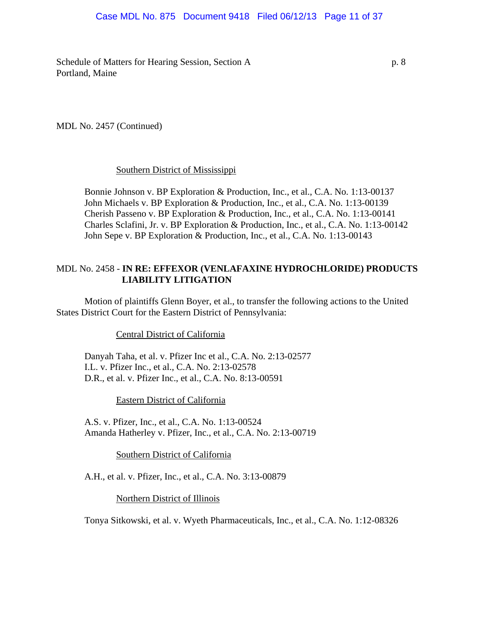## Case MDL No. 875 Document 9418 Filed 06/12/13 Page 11 of 37

Schedule of Matters for Hearing Session, Section A p. 8 Portland, Maine

MDL No. 2457 (Continued)

#### Southern District of Mississippi

Bonnie Johnson v. BP Exploration & Production, Inc., et al., C.A. No. 1:13-00137 John Michaels v. BP Exploration & Production, Inc., et al., C.A. No. 1:13-00139 Cherish Passeno v. BP Exploration & Production, Inc., et al., C.A. No. 1:13-00141 Charles Sclafini, Jr. v. BP Exploration & Production, Inc., et al., C.A. No. 1:13-00142 John Sepe v. BP Exploration & Production, Inc., et al., C.A. No. 1:13-00143

## MDL No. 2458 - **IN RE: EFFEXOR (VENLAFAXINE HYDROCHLORIDE) PRODUCTS LIABILITY LITIGATION**

Motion of plaintiffs Glenn Boyer, et al., to transfer the following actions to the United States District Court for the Eastern District of Pennsylvania:

Central District of California

Danyah Taha, et al. v. Pfizer Inc et al., C.A. No. 2:13-02577 I.L. v. Pfizer Inc., et al., C.A. No. 2:13-02578 D.R., et al. v. Pfizer Inc., et al., C.A. No. 8:13-00591

Eastern District of California

A.S. v. Pfizer, Inc., et al., C.A. No. 1:13-00524 Amanda Hatherley v. Pfizer, Inc., et al., C.A. No. 2:13-00719

Southern District of California

A.H., et al. v. Pfizer, Inc., et al., C.A. No. 3:13-00879

Northern District of Illinois

Tonya Sitkowski, et al. v. Wyeth Pharmaceuticals, Inc., et al., C.A. No. 1:12-08326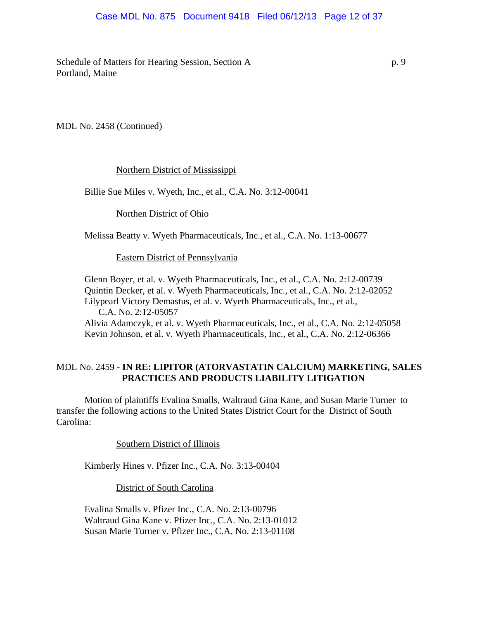#### Case MDL No. 875 Document 9418 Filed 06/12/13 Page 12 of 37

Schedule of Matters for Hearing Session, Section A p. 9 Portland, Maine

MDL No. 2458 (Continued)

#### Northern District of Mississippi

Billie Sue Miles v. Wyeth, Inc., et al., C.A. No. 3:12-00041

Northen District of Ohio

Melissa Beatty v. Wyeth Pharmaceuticals, Inc., et al., C.A. No. 1:13-00677

Eastern District of Pennsylvania

Glenn Boyer, et al. v. Wyeth Pharmaceuticals, Inc., et al., C.A. No. 2:12-00739 Quintin Decker, et al. v. Wyeth Pharmaceuticals, Inc., et al., C.A. No. 2:12-02052 Lilypearl Victory Demastus, et al. v. Wyeth Pharmaceuticals, Inc., et al., C.A. No. 2:12-05057 Alivia Adamczyk, et al. v. Wyeth Pharmaceuticals, Inc., et al., C.A. No. 2:12-05058 Kevin Johnson, et al. v. Wyeth Pharmaceuticals, Inc., et al., C.A. No. 2:12-06366

## MDL No. 2459 - **IN RE: LIPITOR (ATORVASTATIN CALCIUM) MARKETING, SALES PRACTICES AND PRODUCTS LIABILITY LITIGATION**

Motion of plaintiffs Evalina Smalls, Waltraud Gina Kane, and Susan Marie Turner to transfer the following actions to the United States District Court for the District of South Carolina:

Southern District of Illinois

Kimberly Hines v. Pfizer Inc., C.A. No. 3:13-00404

District of South Carolina

Evalina Smalls v. Pfizer Inc., C.A. No. 2:13-00796 Waltraud Gina Kane v. Pfizer Inc., C.A. No. 2:13-01012 Susan Marie Turner v. Pfizer Inc., C.A. No. 2:13-01108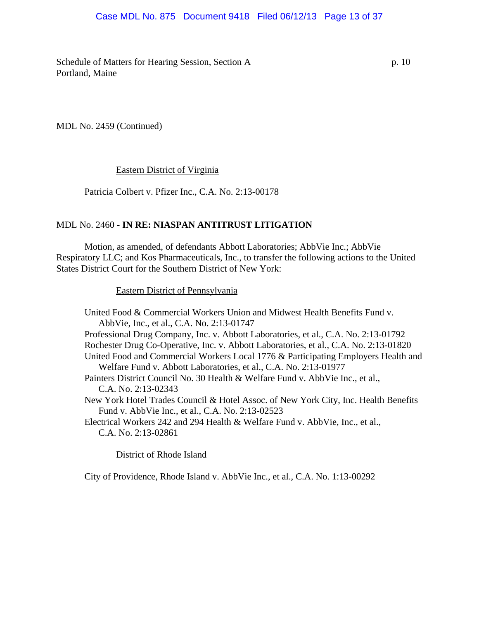## Case MDL No. 875 Document 9418 Filed 06/12/13 Page 13 of 37

Schedule of Matters for Hearing Session, Section A p. 10 Portland, Maine

MDL No. 2459 (Continued)

#### Eastern District of Virginia

Patricia Colbert v. Pfizer Inc., C.A. No. 2:13-00178

## MDL No. 2460 - **IN RE: NIASPAN ANTITRUST LITIGATION**

Motion, as amended, of defendants Abbott Laboratories; AbbVie Inc.; AbbVie Respiratory LLC; and Kos Pharmaceuticals, Inc., to transfer the following actions to the United States District Court for the Southern District of New York:

Eastern District of Pennsylvania

United Food & Commercial Workers Union and Midwest Health Benefits Fund v. AbbVie, Inc., et al., C.A. No. 2:13-01747 Professional Drug Company, Inc. v. Abbott Laboratories, et al., C.A. No. 2:13-01792 Rochester Drug Co-Operative, Inc. v. Abbott Laboratories, et al., C.A. No. 2:13-01820 United Food and Commercial Workers Local 1776 & Participating Employers Health and Welfare Fund v. Abbott Laboratories, et al., C.A. No. 2:13-01977 Painters District Council No. 30 Health & Welfare Fund v. AbbVie Inc., et al., C.A. No. 2:13-02343 New York Hotel Trades Council & Hotel Assoc. of New York City, Inc. Health Benefits Fund v. AbbVie Inc., et al., C.A. No. 2:13-02523 Electrical Workers 242 and 294 Health & Welfare Fund v. AbbVie, Inc., et al., C.A. No. 2:13-02861

District of Rhode Island

City of Providence, Rhode Island v. AbbVie Inc., et al., C.A. No. 1:13-00292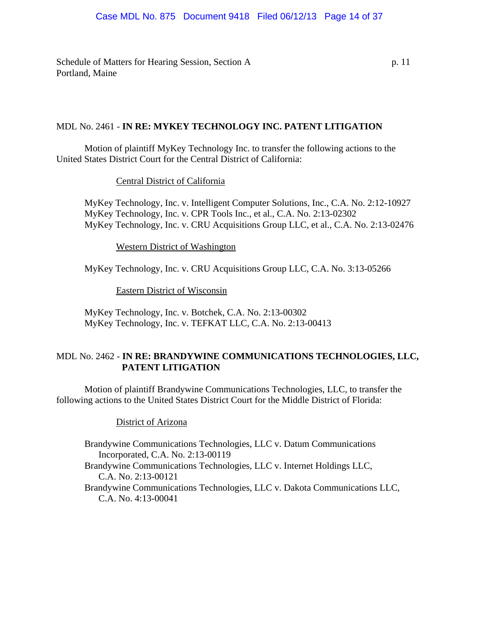Schedule of Matters for Hearing Session, Section A p. 11 Portland, Maine

## MDL No. 2461 - **IN RE: MYKEY TECHNOLOGY INC. PATENT LITIGATION**

Motion of plaintiff MyKey Technology Inc. to transfer the following actions to the United States District Court for the Central District of California:

## Central District of California

MyKey Technology, Inc. v. Intelligent Computer Solutions, Inc., C.A. No. 2:12-10927 MyKey Technology, Inc. v. CPR Tools Inc., et al., C.A. No. 2:13-02302 MyKey Technology, Inc. v. CRU Acquisitions Group LLC, et al., C.A. No. 2:13-02476

Western District of Washington

MyKey Technology, Inc. v. CRU Acquisitions Group LLC, C.A. No. 3:13-05266

Eastern District of Wisconsin

MyKey Technology, Inc. v. Botchek, C.A. No. 2:13-00302 MyKey Technology, Inc. v. TEFKAT LLC, C.A. No. 2:13-00413

# MDL No. 2462 - **IN RE: BRANDYWINE COMMUNICATIONS TECHNOLOGIES, LLC, PATENT LITIGATION**

Motion of plaintiff Brandywine Communications Technologies, LLC, to transfer the following actions to the United States District Court for the Middle District of Florida:

## District of Arizona

Brandywine Communications Technologies, LLC v. Datum Communications Incorporated, C.A. No. 2:13-00119 Brandywine Communications Technologies, LLC v. Internet Holdings LLC, C.A. No. 2:13-00121 Brandywine Communications Technologies, LLC v. Dakota Communications LLC, C.A. No. 4:13-00041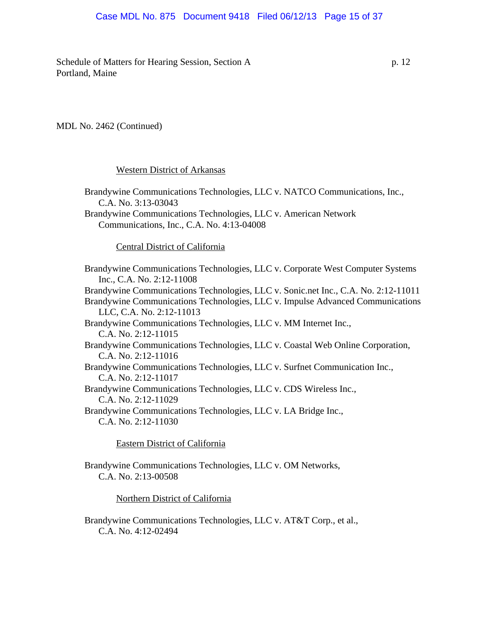## Case MDL No. 875 Document 9418 Filed 06/12/13 Page 15 of 37

Schedule of Matters for Hearing Session, Section A p. 12 Portland, Maine

#### MDL No. 2462 (Continued)

#### Western District of Arkansas

Brandywine Communications Technologies, LLC v. NATCO Communications, Inc., C.A. No. 3:13-03043 Brandywine Communications Technologies, LLC v. American Network Communications, Inc., C.A. No. 4:13-04008 Central District of California Brandywine Communications Technologies, LLC v. Corporate West Computer Systems Inc., C.A. No. 2:12-11008 Brandywine Communications Technologies, LLC v. Sonic.net Inc., C.A. No. 2:12-11011 Brandywine Communications Technologies, LLC v. Impulse Advanced Communications LLC, C.A. No. 2:12-11013 Brandywine Communications Technologies, LLC v. MM Internet Inc., C.A. No. 2:12-11015 Brandywine Communications Technologies, LLC v. Coastal Web Online Corporation, C.A. No. 2:12-11016 Brandywine Communications Technologies, LLC v. Surfnet Communication Inc., C.A. No. 2:12-11017 Brandywine Communications Technologies, LLC v. CDS Wireless Inc., C.A. No. 2:12-11029 Brandywine Communications Technologies, LLC v. LA Bridge Inc., C.A. No. 2:12-11030

# Eastern District of California

Brandywine Communications Technologies, LLC v. OM Networks, C.A. No. 2:13-00508

#### Northern District of California

Brandywine Communications Technologies, LLC v. AT&T Corp., et al., C.A. No. 4:12-02494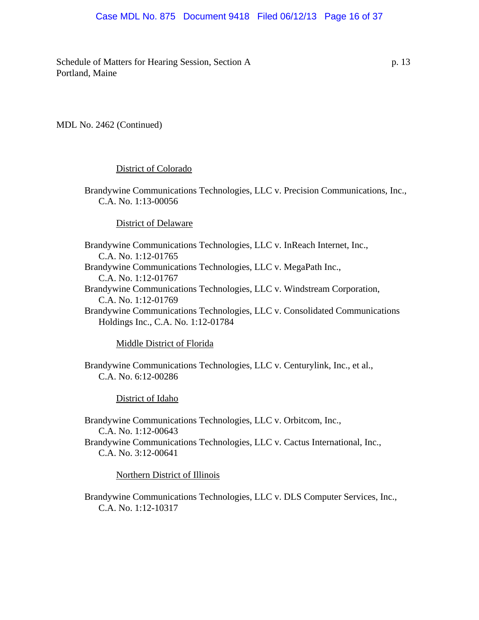## Case MDL No. 875 Document 9418 Filed 06/12/13 Page 16 of 37

Schedule of Matters for Hearing Session, Section A p. 13 Portland, Maine

MDL No. 2462 (Continued)

#### District of Colorado

Brandywine Communications Technologies, LLC v. Precision Communications, Inc., C.A. No. 1:13-00056

#### District of Delaware

Brandywine Communications Technologies, LLC v. InReach Internet, Inc., C.A. No. 1:12-01765 Brandywine Communications Technologies, LLC v. MegaPath Inc., C.A. No. 1:12-01767 Brandywine Communications Technologies, LLC v. Windstream Corporation, C.A. No. 1:12-01769 Brandywine Communications Technologies, LLC v. Consolidated Communications Holdings Inc., C.A. No. 1:12-01784

#### Middle District of Florida

Brandywine Communications Technologies, LLC v. Centurylink, Inc., et al., C.A. No. 6:12-00286

District of Idaho

Brandywine Communications Technologies, LLC v. Orbitcom, Inc., C.A. No. 1:12-00643 Brandywine Communications Technologies, LLC v. Cactus International, Inc., C.A. No. 3:12-00641

Northern District of Illinois

Brandywine Communications Technologies, LLC v. DLS Computer Services, Inc., C.A. No. 1:12-10317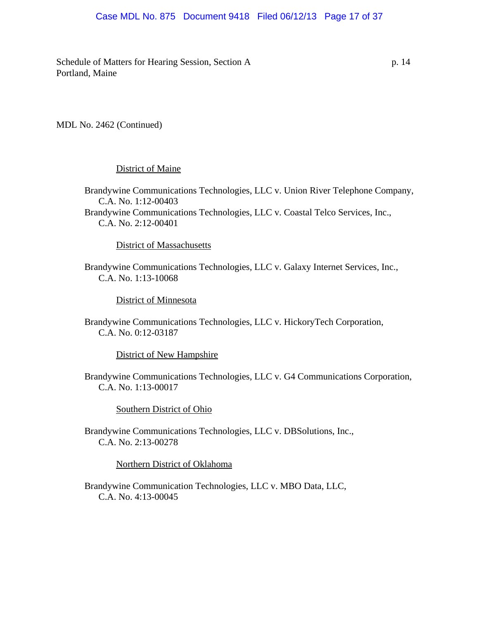## Case MDL No. 875 Document 9418 Filed 06/12/13 Page 17 of 37

Schedule of Matters for Hearing Session, Section A p. 14 Portland, Maine

MDL No. 2462 (Continued)

#### District of Maine

Brandywine Communications Technologies, LLC v. Union River Telephone Company, C.A. No. 1:12-00403 Brandywine Communications Technologies, LLC v. Coastal Telco Services, Inc., C.A. No. 2:12-00401

District of Massachusetts

Brandywine Communications Technologies, LLC v. Galaxy Internet Services, Inc., C.A. No. 1:13-10068

District of Minnesota

Brandywine Communications Technologies, LLC v. HickoryTech Corporation, C.A. No. 0:12-03187

District of New Hampshire

Brandywine Communications Technologies, LLC v. G4 Communications Corporation, C.A. No. 1:13-00017

Southern District of Ohio

Brandywine Communications Technologies, LLC v. DBSolutions, Inc., C.A. No. 2:13-00278

Northern District of Oklahoma

Brandywine Communication Technologies, LLC v. MBO Data, LLC, C.A. No. 4:13-00045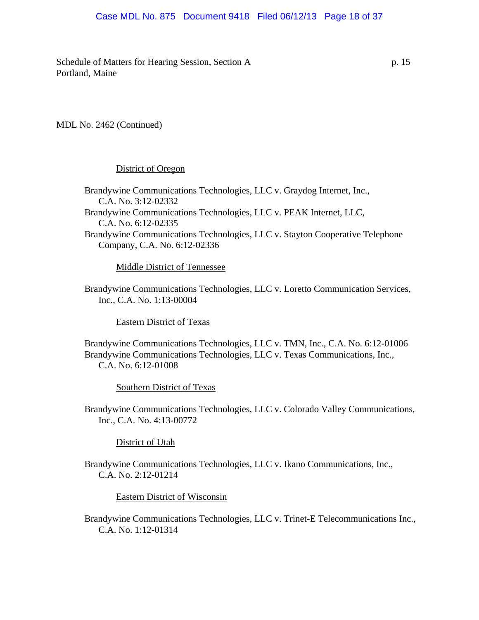## Case MDL No. 875 Document 9418 Filed 06/12/13 Page 18 of 37

Schedule of Matters for Hearing Session, Section A p. 15 Portland, Maine

#### MDL No. 2462 (Continued)

#### District of Oregon

Brandywine Communications Technologies, LLC v. Graydog Internet, Inc., C.A. No. 3:12-02332 Brandywine Communications Technologies, LLC v. PEAK Internet, LLC, C.A. No. 6:12-02335 Brandywine Communications Technologies, LLC v. Stayton Cooperative Telephone Company, C.A. No. 6:12-02336

Middle District of Tennessee

Brandywine Communications Technologies, LLC v. Loretto Communication Services, Inc., C.A. No. 1:13-00004

Eastern District of Texas

Brandywine Communications Technologies, LLC v. TMN, Inc., C.A. No. 6:12-01006 Brandywine Communications Technologies, LLC v. Texas Communications, Inc., C.A. No. 6:12-01008

Southern District of Texas

Brandywine Communications Technologies, LLC v. Colorado Valley Communications, Inc., C.A. No. 4:13-00772

District of Utah

Brandywine Communications Technologies, LLC v. Ikano Communications, Inc., C.A. No. 2:12-01214

Eastern District of Wisconsin

Brandywine Communications Technologies, LLC v. Trinet-E Telecommunications Inc., C.A. No. 1:12-01314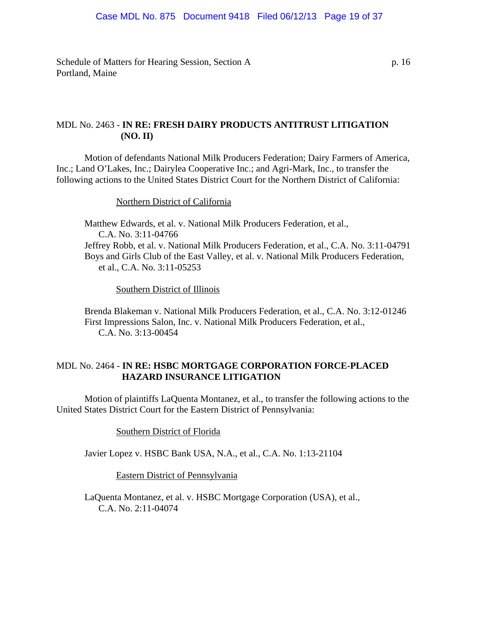Schedule of Matters for Hearing Session, Section A p. 16 Portland, Maine

# MDL No. 2463 - **IN RE: FRESH DAIRY PRODUCTS ANTITRUST LITIGATION (NO. II)**

Motion of defendants National Milk Producers Federation; Dairy Farmers of America, Inc.; Land O'Lakes, Inc.; Dairylea Cooperative Inc.; and Agri-Mark, Inc., to transfer the following actions to the United States District Court for the Northern District of California:

## Northern District of California

Matthew Edwards, et al. v. National Milk Producers Federation, et al., C.A. No. 3:11-04766 Jeffrey Robb, et al. v. National Milk Producers Federation, et al., C.A. No. 3:11-04791 Boys and Girls Club of the East Valley, et al. v. National Milk Producers Federation, et al., C.A. No. 3:11-05253

Southern District of Illinois

Brenda Blakeman v. National Milk Producers Federation, et al., C.A. No. 3:12-01246 First Impressions Salon, Inc. v. National Milk Producers Federation, et al., C.A. No. 3:13-00454

# MDL No. 2464 - **IN RE: HSBC MORTGAGE CORPORATION FORCE-PLACED HAZARD INSURANCE LITIGATION**

Motion of plaintiffs LaQuenta Montanez, et al., to transfer the following actions to the United States District Court for the Eastern District of Pennsylvania:

Southern District of Florida

Javier Lopez v. HSBC Bank USA, N.A., et al., C.A. No. 1:13-21104

Eastern District of Pennsylvania

LaQuenta Montanez, et al. v. HSBC Mortgage Corporation (USA), et al., C.A. No. 2:11-04074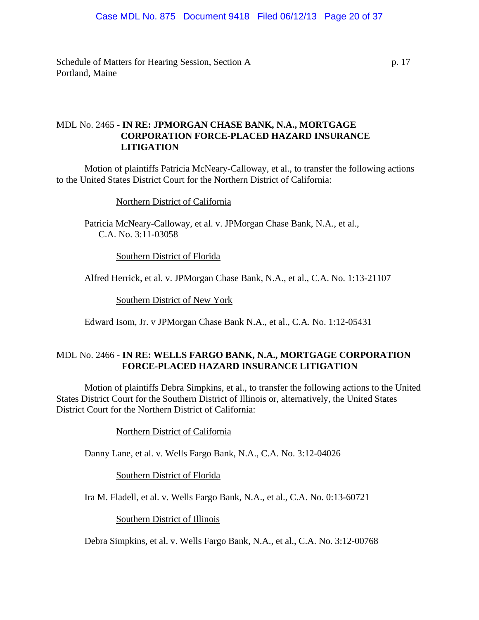Schedule of Matters for Hearing Session, Section A p. 17 Portland, Maine

# MDL No. 2465 - **IN RE: JPMORGAN CHASE BANK, N.A., MORTGAGE CORPORATION FORCE-PLACED HAZARD INSURANCE LITIGATION**

Motion of plaintiffs Patricia McNeary-Calloway, et al., to transfer the following actions to the United States District Court for the Northern District of California:

Northern District of California

Patricia McNeary-Calloway, et al. v. JPMorgan Chase Bank, N.A., et al., C.A. No. 3:11-03058

Southern District of Florida

Alfred Herrick, et al. v. JPMorgan Chase Bank, N.A., et al., C.A. No. 1:13-21107

Southern District of New York

Edward Isom, Jr. v JPMorgan Chase Bank N.A., et al., C.A. No. 1:12-05431

# MDL No. 2466 - **IN RE: WELLS FARGO BANK, N.A., MORTGAGE CORPORATION FORCE-PLACED HAZARD INSURANCE LITIGATION**

Motion of plaintiffs Debra Simpkins, et al., to transfer the following actions to the United States District Court for the Southern District of Illinois or, alternatively, the United States District Court for the Northern District of California:

Northern District of California

Danny Lane, et al. v. Wells Fargo Bank, N.A., C.A. No. 3:12-04026

Southern District of Florida

Ira M. Fladell, et al. v. Wells Fargo Bank, N.A., et al., C.A. No. 0:13-60721

Southern District of Illinois

Debra Simpkins, et al. v. Wells Fargo Bank, N.A., et al., C.A. No. 3:12-00768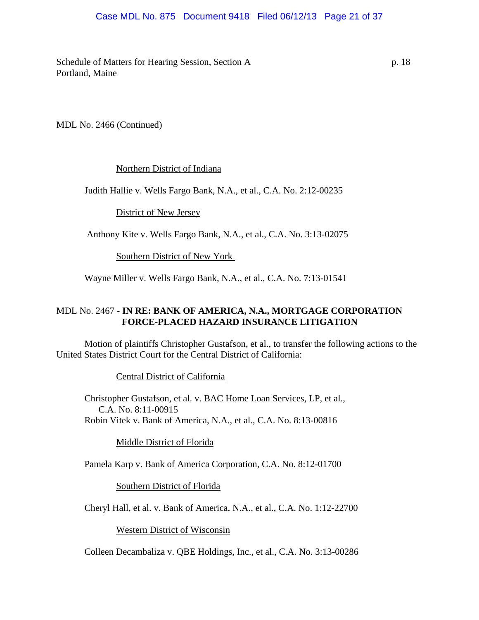## Case MDL No. 875 Document 9418 Filed 06/12/13 Page 21 of 37

Schedule of Matters for Hearing Session, Section A p. 18 Portland, Maine

MDL No. 2466 (Continued)

## Northern District of Indiana

Judith Hallie v. Wells Fargo Bank, N.A., et al., C.A. No. 2:12-00235

District of New Jersey

Anthony Kite v. Wells Fargo Bank, N.A., et al., C.A. No. 3:13-02075

Southern District of New York

Wayne Miller v. Wells Fargo Bank, N.A., et al., C.A. No. 7:13-01541

# MDL No. 2467 - **IN RE: BANK OF AMERICA, N.A., MORTGAGE CORPORATION FORCE-PLACED HAZARD INSURANCE LITIGATION**

Motion of plaintiffs Christopher Gustafson, et al., to transfer the following actions to the United States District Court for the Central District of California:

Central District of California

Christopher Gustafson, et al. v. BAC Home Loan Services, LP, et al., C.A. No. 8:11-00915 Robin Vitek v. Bank of America, N.A., et al., C.A. No. 8:13-00816

Middle District of Florida

Pamela Karp v. Bank of America Corporation, C.A. No. 8:12-01700

Southern District of Florida

Cheryl Hall, et al. v. Bank of America, N.A., et al., C.A. No. 1:12-22700

Western District of Wisconsin

Colleen Decambaliza v. QBE Holdings, Inc., et al., C.A. No. 3:13-00286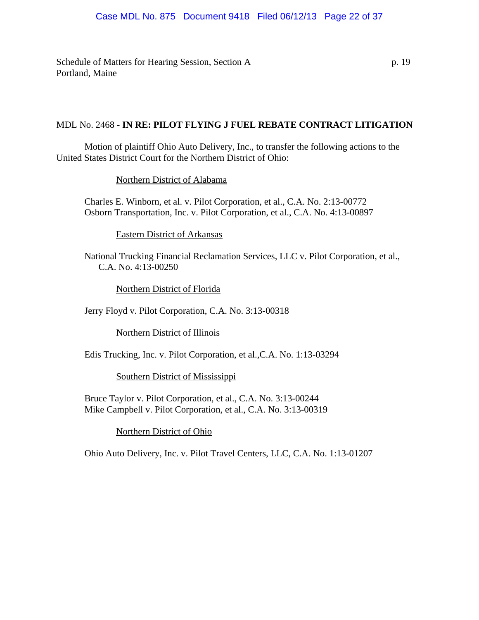Schedule of Matters for Hearing Session, Section A p. 19 Portland, Maine

## MDL No. 2468 - **IN RE: PILOT FLYING J FUEL REBATE CONTRACT LITIGATION**

Motion of plaintiff Ohio Auto Delivery, Inc., to transfer the following actions to the United States District Court for the Northern District of Ohio:

Northern District of Alabama

Charles E. Winborn, et al. v. Pilot Corporation, et al., C.A. No. 2:13-00772 Osborn Transportation, Inc. v. Pilot Corporation, et al., C.A. No. 4:13-00897

Eastern District of Arkansas

National Trucking Financial Reclamation Services, LLC v. Pilot Corporation, et al., C.A. No. 4:13-00250

Northern District of Florida

Jerry Floyd v. Pilot Corporation, C.A. No. 3:13-00318

Northern District of Illinois

Edis Trucking, Inc. v. Pilot Corporation, et al.,C.A. No. 1:13-03294

Southern District of Mississippi

Bruce Taylor v. Pilot Corporation, et al., C.A. No. 3:13-00244 Mike Campbell v. Pilot Corporation, et al., C.A. No. 3:13-00319

Northern District of Ohio

Ohio Auto Delivery, Inc. v. Pilot Travel Centers, LLC, C.A. No. 1:13-01207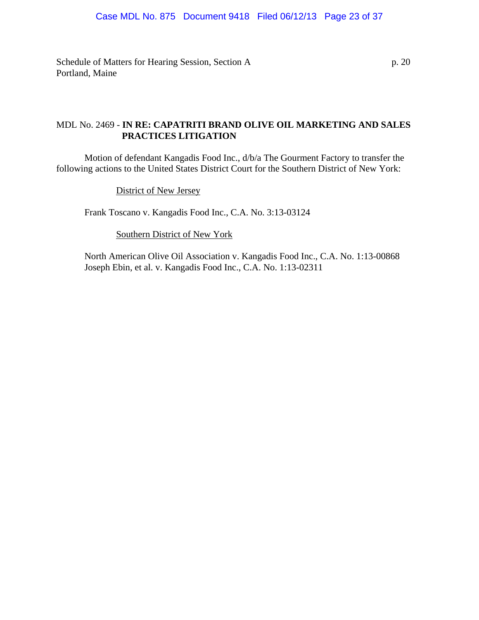Schedule of Matters for Hearing Session, Section A p. 20 Portland, Maine

# MDL No. 2469 - **IN RE: CAPATRITI BRAND OLIVE OIL MARKETING AND SALES PRACTICES LITIGATION**

Motion of defendant Kangadis Food Inc., d/b/a The Gourment Factory to transfer the following actions to the United States District Court for the Southern District of New York:

District of New Jersey

Frank Toscano v. Kangadis Food Inc., C.A. No. 3:13-03124

Southern District of New York

North American Olive Oil Association v. Kangadis Food Inc., C.A. No. 1:13-00868 Joseph Ebin, et al. v. Kangadis Food Inc., C.A. No. 1:13-02311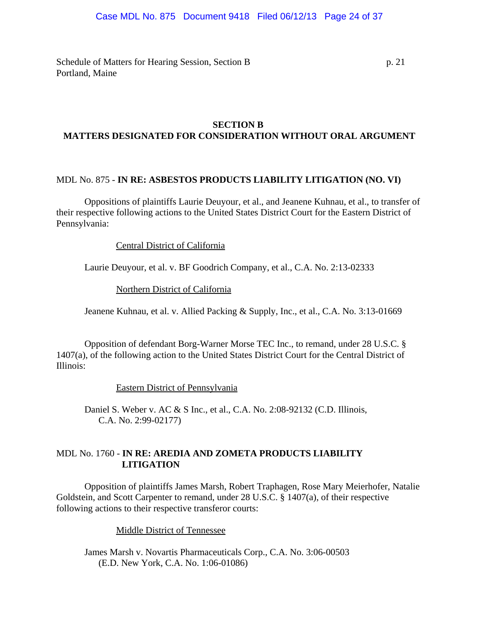## Case MDL No. 875 Document 9418 Filed 06/12/13 Page 24 of 37

Schedule of Matters for Hearing Session, Section B p. 21 Portland, Maine

## **SECTION B MATTERS DESIGNATED FOR CONSIDERATION WITHOUT ORAL ARGUMENT**

## MDL No. 875 - **IN RE: ASBESTOS PRODUCTS LIABILITY LITIGATION (NO. VI)**

Oppositions of plaintiffs Laurie Deuyour, et al., and Jeanene Kuhnau, et al., to transfer of their respective following actions to the United States District Court for the Eastern District of Pennsylvania:

## Central District of California

Laurie Deuyour, et al. v. BF Goodrich Company, et al., C.A. No. 2:13-02333

Northern District of California

Jeanene Kuhnau, et al. v. Allied Packing & Supply, Inc., et al., C.A. No. 3:13-01669

Opposition of defendant Borg-Warner Morse TEC Inc., to remand, under 28 U.S.C. § 1407(a), of the following action to the United States District Court for the Central District of Illinois:

Eastern District of Pennsylvania

Daniel S. Weber v. AC & S Inc., et al., C.A. No. 2:08-92132 (C.D. Illinois, C.A. No. 2:99-02177)

# MDL No. 1760 - **IN RE: AREDIA AND ZOMETA PRODUCTS LIABILITY LITIGATION**

Opposition of plaintiffs James Marsh, Robert Traphagen, Rose Mary Meierhofer, Natalie Goldstein, and Scott Carpenter to remand, under 28 U.S.C. § 1407(a), of their respective following actions to their respective transferor courts:

Middle District of Tennessee

James Marsh v. Novartis Pharmaceuticals Corp., C.A. No. 3:06-00503 (E.D. New York, C.A. No. 1:06-01086)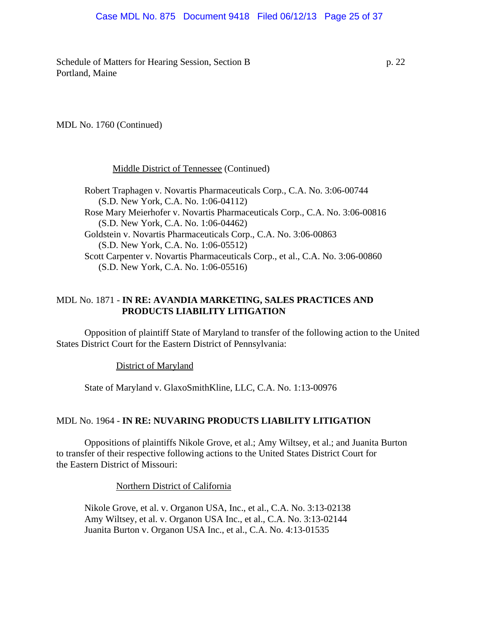## Case MDL No. 875 Document 9418 Filed 06/12/13 Page 25 of 37

Schedule of Matters for Hearing Session, Section B p. 22 Portland, Maine

MDL No. 1760 (Continued)

Middle District of Tennessee (Continued)

Robert Traphagen v. Novartis Pharmaceuticals Corp., C.A. No. 3:06-00744 (S.D. New York, C.A. No. 1:06-04112) Rose Mary Meierhofer v. Novartis Pharmaceuticals Corp., C.A. No. 3:06-00816 (S.D. New York, C.A. No. 1:06-04462) Goldstein v. Novartis Pharmaceuticals Corp., C.A. No. 3:06-00863 (S.D. New York, C.A. No. 1:06-05512) Scott Carpenter v. Novartis Pharmaceuticals Corp., et al., C.A. No. 3:06-00860 (S.D. New York, C.A. No. 1:06-05516)

## MDL No. 1871 - **IN RE: AVANDIA MARKETING, SALES PRACTICES AND PRODUCTS LIABILITY LITIGATION**

Opposition of plaintiff State of Maryland to transfer of the following action to the United States District Court for the Eastern District of Pennsylvania:

District of Maryland

State of Maryland v. GlaxoSmithKline, LLC, C.A. No. 1:13-00976

#### MDL No. 1964 - **IN RE: NUVARING PRODUCTS LIABILITY LITIGATION**

Oppositions of plaintiffs Nikole Grove, et al.; Amy Wiltsey, et al.; and Juanita Burton to transfer of their respective following actions to the United States District Court for the Eastern District of Missouri:

Northern District of California

Nikole Grove, et al. v. Organon USA, Inc., et al., C.A. No. 3:13-02138 Amy Wiltsey, et al. v. Organon USA Inc., et al., C.A. No. 3:13-02144 Juanita Burton v. Organon USA Inc., et al., C.A. No. 4:13-01535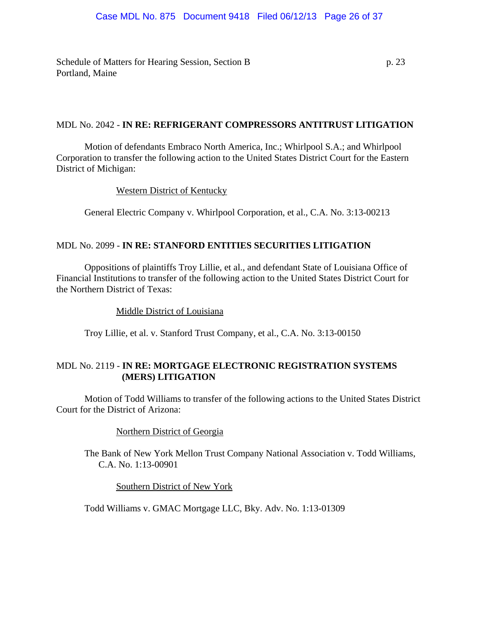Schedule of Matters for Hearing Session, Section B p. 23 Portland, Maine

# MDL No. 2042 - **IN RE: REFRIGERANT COMPRESSORS ANTITRUST LITIGATION**

Motion of defendants Embraco North America, Inc.; Whirlpool S.A.; and Whirlpool Corporation to transfer the following action to the United States District Court for the Eastern District of Michigan:

## Western District of Kentucky

General Electric Company v. Whirlpool Corporation, et al., C.A. No. 3:13-00213

# MDL No. 2099 - **IN RE: STANFORD ENTITIES SECURITIES LITIGATION**

Oppositions of plaintiffs Troy Lillie, et al., and defendant State of Louisiana Office of Financial Institutions to transfer of the following action to the United States District Court for the Northern District of Texas:

#### Middle District of Louisiana

Troy Lillie, et al. v. Stanford Trust Company, et al., C.A. No. 3:13-00150

# MDL No. 2119 - **IN RE: MORTGAGE ELECTRONIC REGISTRATION SYSTEMS (MERS) LITIGATION**

Motion of Todd Williams to transfer of the following actions to the United States District Court for the District of Arizona:

## Northern District of Georgia

The Bank of New York Mellon Trust Company National Association v. Todd Williams, C.A. No. 1:13-00901

Southern District of New York

Todd Williams v. GMAC Mortgage LLC, Bky. Adv. No. 1:13-01309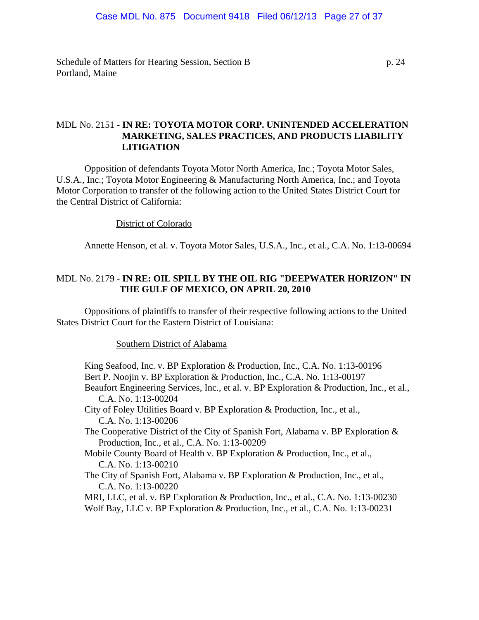Schedule of Matters for Hearing Session, Section B p. 24 Portland, Maine

# MDL No. 2151 - **IN RE: TOYOTA MOTOR CORP. UNINTENDED ACCELERATION MARKETING, SALES PRACTICES, AND PRODUCTS LIABILITY LITIGATION**

Opposition of defendants Toyota Motor North America, Inc.; Toyota Motor Sales, U.S.A., Inc.; Toyota Motor Engineering & Manufacturing North America, Inc.; and Toyota Motor Corporation to transfer of the following action to the United States District Court for the Central District of California:

#### District of Colorado

Annette Henson, et al. v. Toyota Motor Sales, U.S.A., Inc., et al., C.A. No. 1:13-00694

## MDL No. 2179 - **IN RE: OIL SPILL BY THE OIL RIG "DEEPWATER HORIZON" IN THE GULF OF MEXICO, ON APRIL 20, 2010**

Oppositions of plaintiffs to transfer of their respective following actions to the United States District Court for the Eastern District of Louisiana:

#### Southern District of Alabama

King Seafood, Inc. v. BP Exploration & Production, Inc., C.A. No. 1:13-00196 Bert P. Noojin v. BP Exploration & Production, Inc., C.A. No. 1:13-00197 Beaufort Engineering Services, Inc., et al. v. BP Exploration & Production, Inc., et al., C.A. No. 1:13-00204 City of Foley Utilities Board v. BP Exploration & Production, Inc., et al., C.A. No. 1:13-00206 The Cooperative District of the City of Spanish Fort, Alabama v. BP Exploration & Production, Inc., et al., C.A. No. 1:13-00209 Mobile County Board of Health v. BP Exploration & Production, Inc., et al., C.A. No. 1:13-00210 The City of Spanish Fort, Alabama v. BP Exploration & Production, Inc., et al., C.A. No. 1:13-00220 MRI, LLC, et al. v. BP Exploration & Production, Inc., et al., C.A. No. 1:13-00230

Wolf Bay, LLC v. BP Exploration & Production, Inc., et al., C.A. No. 1:13-00231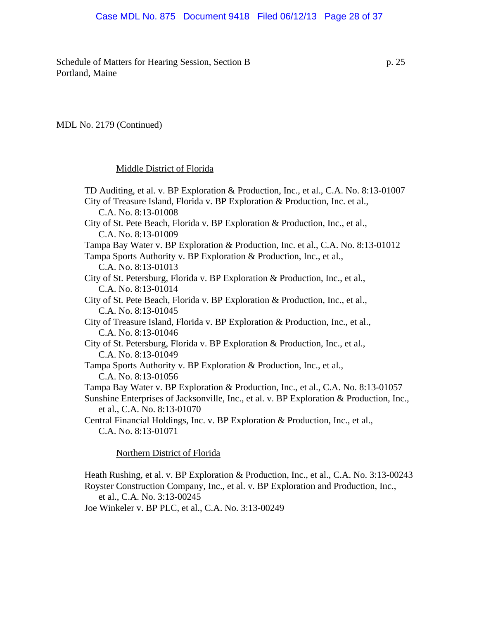Schedule of Matters for Hearing Session, Section B p. 25 Portland, Maine

#### MDL No. 2179 (Continued)

#### Middle District of Florida

TD Auditing, et al. v. BP Exploration & Production, Inc., et al., C.A. No. 8:13-01007 City of Treasure Island, Florida v. BP Exploration & Production, Inc. et al., C.A. No. 8:13-01008 City of St. Pete Beach, Florida v. BP Exploration & Production, Inc., et al., C.A. No. 8:13-01009 Tampa Bay Water v. BP Exploration & Production, Inc. et al., C.A. No. 8:13-01012 Tampa Sports Authority v. BP Exploration & Production, Inc., et al., C.A. No. 8:13-01013 City of St. Petersburg, Florida v. BP Exploration & Production, Inc., et al., C.A. No. 8:13-01014 City of St. Pete Beach, Florida v. BP Exploration & Production, Inc., et al., C.A. No. 8:13-01045 City of Treasure Island, Florida v. BP Exploration & Production, Inc., et al., C.A. No. 8:13-01046 City of St. Petersburg, Florida v. BP Exploration & Production, Inc., et al., C.A. No. 8:13-01049 Tampa Sports Authority v. BP Exploration & Production, Inc., et al., C.A. No. 8:13-01056 Tampa Bay Water v. BP Exploration & Production, Inc., et al., C.A. No. 8:13-01057 Sunshine Enterprises of Jacksonville, Inc., et al. v. BP Exploration & Production, Inc., et al., C.A. No. 8:13-01070 Central Financial Holdings, Inc. v. BP Exploration & Production, Inc., et al., C.A. No. 8:13-01071

Northern District of Florida

Heath Rushing, et al. v. BP Exploration & Production, Inc., et al., C.A. No. 3:13-00243 Royster Construction Company, Inc., et al. v. BP Exploration and Production, Inc., et al., C.A. No. 3:13-00245

Joe Winkeler v. BP PLC, et al., C.A. No. 3:13-00249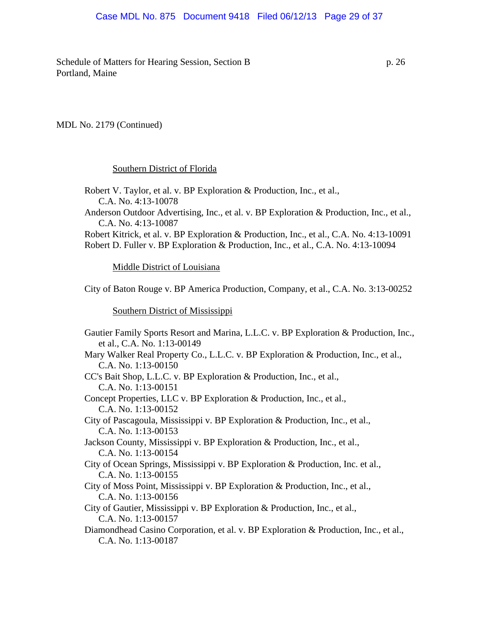## Case MDL No. 875 Document 9418 Filed 06/12/13 Page 29 of 37

Schedule of Matters for Hearing Session, Section B p. 26 Portland, Maine

#### MDL No. 2179 (Continued)

#### Southern District of Florida

Robert V. Taylor, et al. v. BP Exploration & Production, Inc., et al., C.A. No. 4:13-10078 Anderson Outdoor Advertising, Inc., et al. v. BP Exploration & Production, Inc., et al., C.A. No. 4:13-10087 Robert Kitrick, et al. v. BP Exploration & Production, Inc., et al., C.A. No. 4:13-10091 Robert D. Fuller v. BP Exploration & Production, Inc., et al., C.A. No. 4:13-10094

Middle District of Louisiana

City of Baton Rouge v. BP America Production, Company, et al., C.A. No. 3:13-00252

Southern District of Mississippi

Gautier Family Sports Resort and Marina, L.L.C. v. BP Exploration & Production, Inc., et al., C.A. No. 1:13-00149 Mary Walker Real Property Co., L.L.C. v. BP Exploration & Production, Inc., et al., C.A. No. 1:13-00150 CC's Bait Shop, L.L.C. v. BP Exploration & Production, Inc., et al., C.A. No. 1:13-00151 Concept Properties, LLC v. BP Exploration & Production, Inc., et al., C.A. No. 1:13-00152 City of Pascagoula, Mississippi v. BP Exploration & Production, Inc., et al., C.A. No. 1:13-00153 Jackson County, Mississippi v. BP Exploration & Production, Inc., et al., C.A. No. 1:13-00154 City of Ocean Springs, Mississippi v. BP Exploration & Production, Inc. et al., C.A. No. 1:13-00155 City of Moss Point, Mississippi v. BP Exploration & Production, Inc., et al., C.A. No. 1:13-00156 City of Gautier, Mississippi v. BP Exploration & Production, Inc., et al., C.A. No. 1:13-00157 Diamondhead Casino Corporation, et al. v. BP Exploration & Production, Inc., et al., C.A. No. 1:13-00187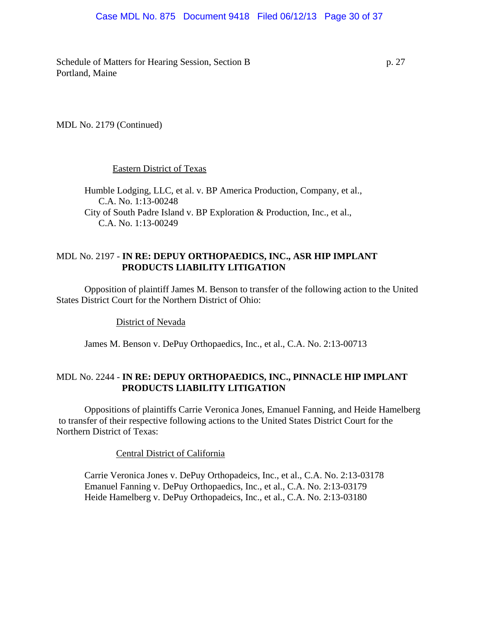#### Case MDL No. 875 Document 9418 Filed 06/12/13 Page 30 of 37

Schedule of Matters for Hearing Session, Section B p. 27 Portland, Maine

MDL No. 2179 (Continued)

#### Eastern District of Texas

Humble Lodging, LLC, et al. v. BP America Production, Company, et al., C.A. No. 1:13-00248 City of South Padre Island v. BP Exploration & Production, Inc., et al., C.A. No. 1:13-00249

## MDL No. 2197 - **IN RE: DEPUY ORTHOPAEDICS, INC., ASR HIP IMPLANT PRODUCTS LIABILITY LITIGATION**

Opposition of plaintiff James M. Benson to transfer of the following action to the United States District Court for the Northern District of Ohio:

District of Nevada

James M. Benson v. DePuy Orthopaedics, Inc., et al., C.A. No. 2:13-00713

# MDL No. 2244 - **IN RE: DEPUY ORTHOPAEDICS, INC., PINNACLE HIP IMPLANT PRODUCTS LIABILITY LITIGATION**

Oppositions of plaintiffs Carrie Veronica Jones, Emanuel Fanning, and Heide Hamelberg to transfer of their respective following actions to the United States District Court for the Northern District of Texas:

Central District of California

Carrie Veronica Jones v. DePuy Orthopadeics, Inc., et al., C.A. No. 2:13-03178 Emanuel Fanning v. DePuy Orthopaedics, Inc., et al., C.A. No. 2:13-03179 Heide Hamelberg v. DePuy Orthopadeics, Inc., et al., C.A. No. 2:13-03180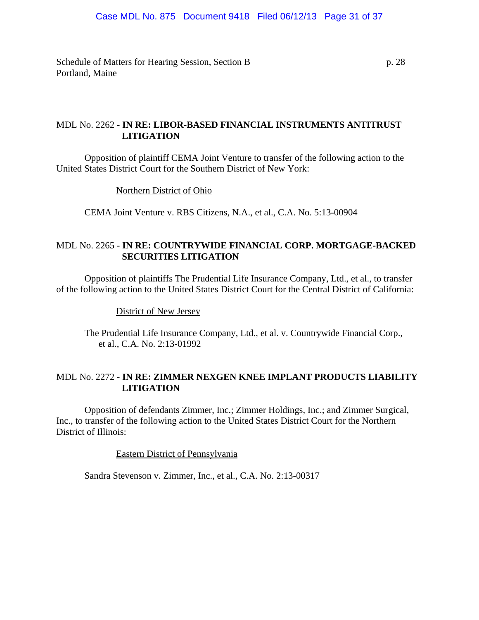Schedule of Matters for Hearing Session, Section B p. 28 Portland, Maine

# MDL No. 2262 - **IN RE: LIBOR-BASED FINANCIAL INSTRUMENTS ANTITRUST LITIGATION**

Opposition of plaintiff CEMA Joint Venture to transfer of the following action to the United States District Court for the Southern District of New York:

Northern District of Ohio

CEMA Joint Venture v. RBS Citizens, N.A., et al., C.A. No. 5:13-00904

# MDL No. 2265 - **IN RE: COUNTRYWIDE FINANCIAL CORP. MORTGAGE-BACKED SECURITIES LITIGATION**

Opposition of plaintiffs The Prudential Life Insurance Company, Ltd., et al., to transfer of the following action to the United States District Court for the Central District of California:

District of New Jersey

The Prudential Life Insurance Company, Ltd., et al. v. Countrywide Financial Corp., et al., C.A. No. 2:13-01992

# MDL No. 2272 - **IN RE: ZIMMER NEXGEN KNEE IMPLANT PRODUCTS LIABILITY LITIGATION**

Opposition of defendants Zimmer, Inc.; Zimmer Holdings, Inc.; and Zimmer Surgical, Inc., to transfer of the following action to the United States District Court for the Northern District of Illinois:

Eastern District of Pennsylvania

Sandra Stevenson v. Zimmer, Inc., et al., C.A. No. 2:13-00317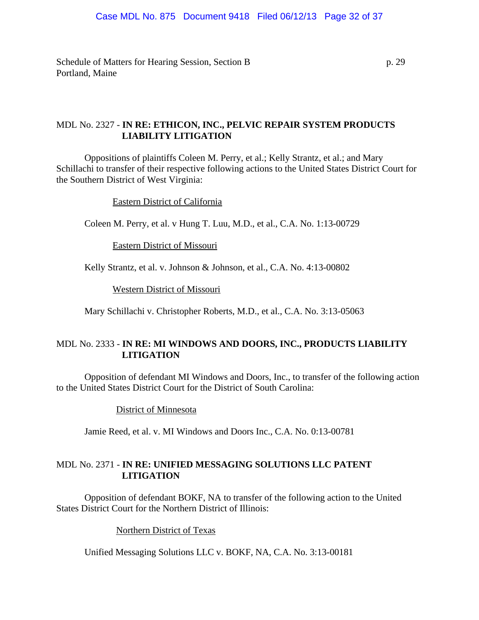Schedule of Matters for Hearing Session, Section B p. 29 Portland, Maine

# MDL No. 2327 - **IN RE: ETHICON, INC., PELVIC REPAIR SYSTEM PRODUCTS LIABILITY LITIGATION**

Oppositions of plaintiffs Coleen M. Perry, et al.; Kelly Strantz, et al.; and Mary Schillachi to transfer of their respective following actions to the United States District Court for the Southern District of West Virginia:

Eastern District of California

Coleen M. Perry, et al. v Hung T. Luu, M.D., et al., C.A. No. 1:13-00729

Eastern District of Missouri

Kelly Strantz, et al. v. Johnson & Johnson, et al., C.A. No. 4:13-00802

Western District of Missouri

Mary Schillachi v. Christopher Roberts, M.D., et al., C.A. No. 3:13-05063

# MDL No. 2333 - **IN RE: MI WINDOWS AND DOORS, INC., PRODUCTS LIABILITY LITIGATION**

Opposition of defendant MI Windows and Doors, Inc., to transfer of the following action to the United States District Court for the District of South Carolina:

District of Minnesota

Jamie Reed, et al. v. MI Windows and Doors Inc., C.A. No. 0:13-00781

# MDL No. 2371 - **IN RE: UNIFIED MESSAGING SOLUTIONS LLC PATENT LITIGATION**

Opposition of defendant BOKF, NA to transfer of the following action to the United States District Court for the Northern District of Illinois:

Northern District of Texas

Unified Messaging Solutions LLC v. BOKF, NA, C.A. No. 3:13-00181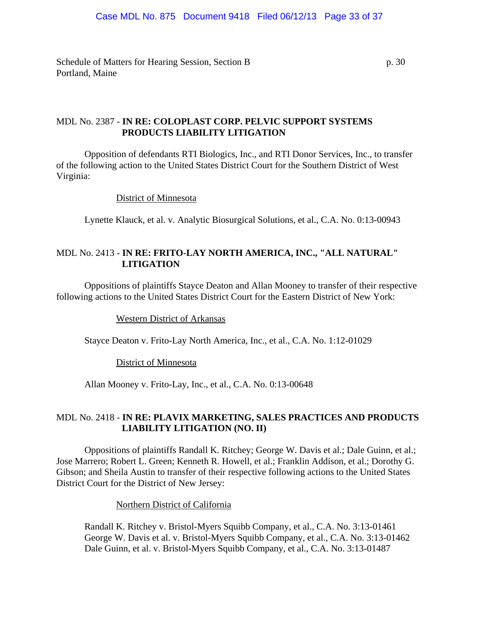Schedule of Matters for Hearing Session, Section B p. 30 Portland, Maine

# MDL No. 2387 - **IN RE: COLOPLAST CORP. PELVIC SUPPORT SYSTEMS PRODUCTS LIABILITY LITIGATION**

Opposition of defendants RTI Biologics, Inc., and RTI Donor Services, Inc., to transfer of the following action to the United States District Court for the Southern District of West Virginia:

District of Minnesota

Lynette Klauck, et al. v. Analytic Biosurgical Solutions, et al., C.A. No. 0:13-00943

# MDL No. 2413 - **IN RE: FRITO-LAY NORTH AMERICA, INC., "ALL NATURAL" LITIGATION**

Oppositions of plaintiffs Stayce Deaton and Allan Mooney to transfer of their respective following actions to the United States District Court for the Eastern District of New York:

#### Western District of Arkansas

Stayce Deaton v. Frito-Lay North America, Inc., et al., C.A. No. 1:12-01029

#### District of Minnesota

Allan Mooney v. Frito-Lay, Inc., et al., C.A. No. 0:13-00648

# MDL No. 2418 - **IN RE: PLAVIX MARKETING, SALES PRACTICES AND PRODUCTS LIABILITY LITIGATION (NO. II)**

Oppositions of plaintiffs Randall K. Ritchey; George W. Davis et al.; Dale Guinn, et al.; Jose Marrero; Robert L. Green; Kenneth R. Howell, et al.; Franklin Addison, et al.; Dorothy G. Gibson; and Sheila Austin to transfer of their respective following actions to the United States District Court for the District of New Jersey:

Northern District of California

Randall K. Ritchey v. Bristol-Myers Squibb Company, et al., C.A. No. 3:13-01461 George W. Davis et al. v. Bristol-Myers Squibb Company, et al., C.A. No. 3:13-01462 Dale Guinn, et al. v. Bristol-Myers Squibb Company, et al., C.A. No. 3:13-01487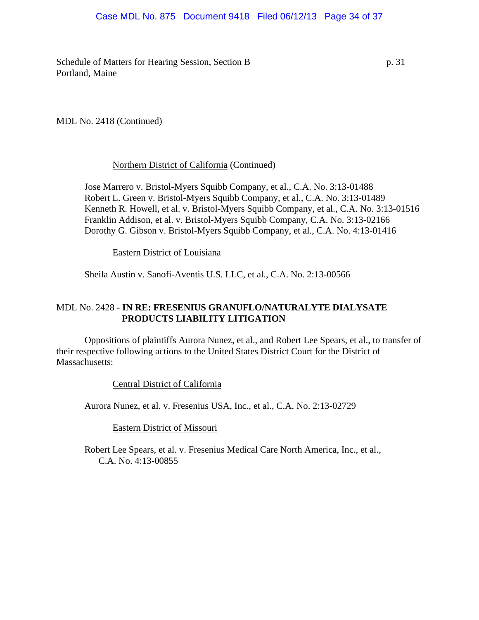## Case MDL No. 875 Document 9418 Filed 06/12/13 Page 34 of 37

Schedule of Matters for Hearing Session, Section B p. 31 Portland, Maine

MDL No. 2418 (Continued)

## Northern District of California (Continued)

Jose Marrero v. Bristol-Myers Squibb Company, et al., C.A. No. 3:13-01488 Robert L. Green v. Bristol-Myers Squibb Company, et al., C.A. No. 3:13-01489 Kenneth R. Howell, et al. v. Bristol-Myers Squibb Company, et al., C.A. No. 3:13-01516 Franklin Addison, et al. v. Bristol-Myers Squibb Company, C.A. No. 3:13-02166 Dorothy G. Gibson v. Bristol-Myers Squibb Company, et al., C.A. No. 4:13-01416

Eastern District of Louisiana

Sheila Austin v. Sanofi-Aventis U.S. LLC, et al., C.A. No. 2:13-00566

# MDL No. 2428 - **IN RE: FRESENIUS GRANUFLO/NATURALYTE DIALYSATE PRODUCTS LIABILITY LITIGATION**

Oppositions of plaintiffs Aurora Nunez, et al., and Robert Lee Spears, et al., to transfer of their respective following actions to the United States District Court for the District of Massachusetts:

Central District of California

Aurora Nunez, et al. v. Fresenius USA, Inc., et al., C.A. No. 2:13-02729

Eastern District of Missouri

Robert Lee Spears, et al. v. Fresenius Medical Care North America, Inc., et al., C.A. No. 4:13-00855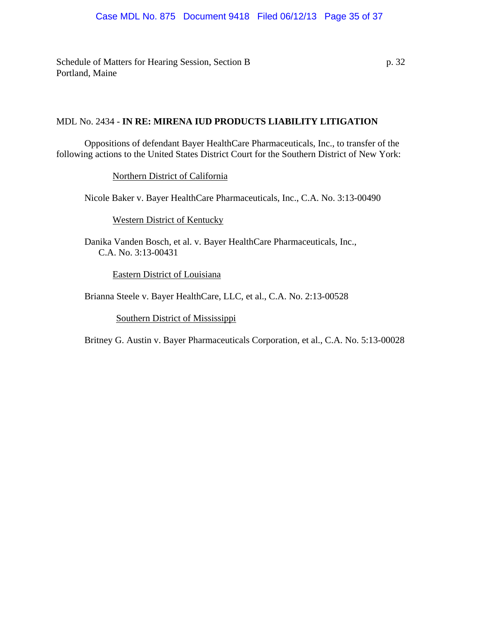Schedule of Matters for Hearing Session, Section B p. 32 Portland, Maine

# MDL No. 2434 - **IN RE: MIRENA IUD PRODUCTS LIABILITY LITIGATION**

Oppositions of defendant Bayer HealthCare Pharmaceuticals, Inc., to transfer of the following actions to the United States District Court for the Southern District of New York:

Northern District of California

Nicole Baker v. Bayer HealthCare Pharmaceuticals, Inc., C.A. No. 3:13-00490

Western District of Kentucky

Danika Vanden Bosch, et al. v. Bayer HealthCare Pharmaceuticals, Inc., C.A. No. 3:13-00431

Eastern District of Louisiana

Brianna Steele v. Bayer HealthCare, LLC, et al., C.A. No. 2:13-00528

Southern District of Mississippi

Britney G. Austin v. Bayer Pharmaceuticals Corporation, et al., C.A. No. 5:13-00028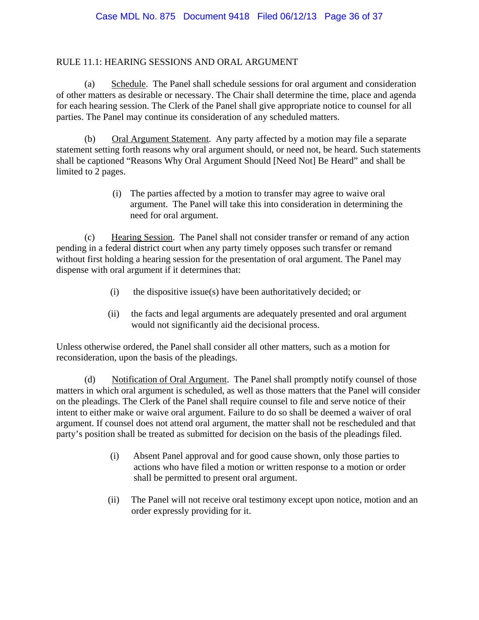# RULE 11.1: HEARING SESSIONS AND ORAL ARGUMENT

(a) Schedule. The Panel shall schedule sessions for oral argument and consideration of other matters as desirable or necessary. The Chair shall determine the time, place and agenda for each hearing session. The Clerk of the Panel shall give appropriate notice to counsel for all parties. The Panel may continue its consideration of any scheduled matters.

(b) Oral Argument Statement. Any party affected by a motion may file a separate statement setting forth reasons why oral argument should, or need not, be heard. Such statements shall be captioned "Reasons Why Oral Argument Should [Need Not] Be Heard" and shall be limited to 2 pages.

> (i) The parties affected by a motion to transfer may agree to waive oral argument. The Panel will take this into consideration in determining the need for oral argument.

 (c) Hearing Session. The Panel shall not consider transfer or remand of any action pending in a federal district court when any party timely opposes such transfer or remand without first holding a hearing session for the presentation of oral argument. The Panel may dispense with oral argument if it determines that:

- (i) the dispositive issue(s) have been authoritatively decided; or
- (ii) the facts and legal arguments are adequately presented and oral argument would not significantly aid the decisional process.

Unless otherwise ordered, the Panel shall consider all other matters, such as a motion for reconsideration, upon the basis of the pleadings.

(d) Notification of Oral Argument. The Panel shall promptly notify counsel of those matters in which oral argument is scheduled, as well as those matters that the Panel will consider on the pleadings. The Clerk of the Panel shall require counsel to file and serve notice of their intent to either make or waive oral argument. Failure to do so shall be deemed a waiver of oral argument. If counsel does not attend oral argument, the matter shall not be rescheduled and that party's position shall be treated as submitted for decision on the basis of the pleadings filed.

- (i) Absent Panel approval and for good cause shown, only those parties to actions who have filed a motion or written response to a motion or order shall be permitted to present oral argument.
- (ii) The Panel will not receive oral testimony except upon notice, motion and an order expressly providing for it.